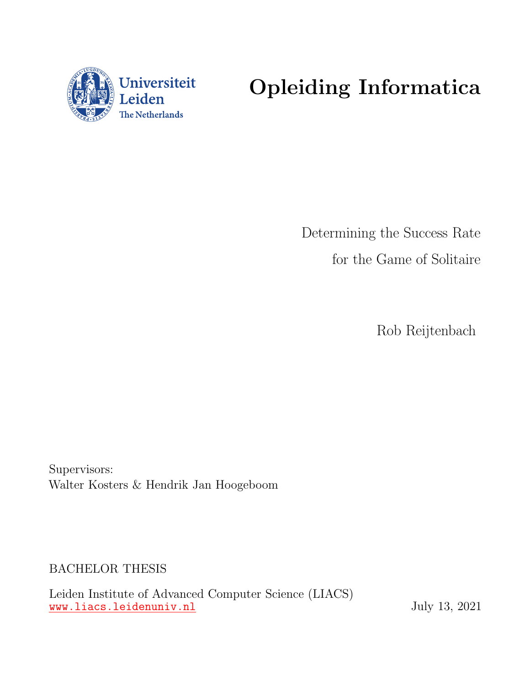

# Opleiding Informatica

Determining the Success Rate for the Game of Solitaire

Rob Reijtenbach

Supervisors: Walter Kosters & Hendrik Jan Hoogeboom

BACHELOR THESIS

Leiden Institute of Advanced Computer Science (LIACS) <www.liacs.leidenuniv.nl> July 13, 2021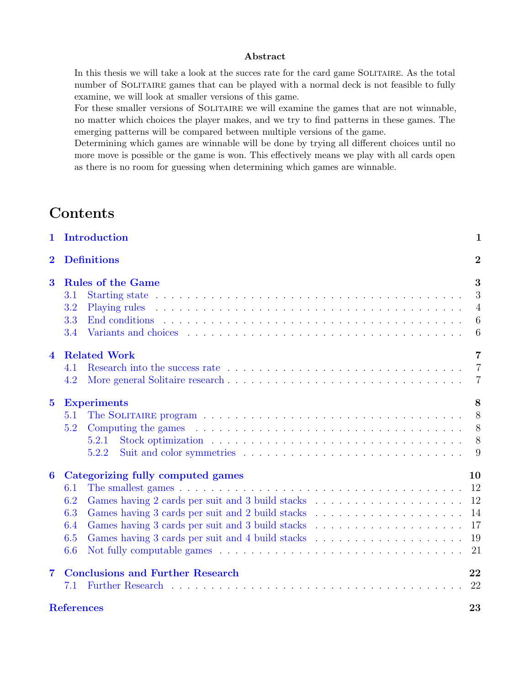#### Abstract

In this thesis we will take a look at the succes rate for the card game SOLITAIRE. As the total number of SOLITAIRE games that can be played with a normal deck is not feasible to fully examine, we will look at smaller versions of this game.

For these smaller versions of SOLITAIRE we will examine the games that are not winnable, no matter which choices the player makes, and we try to find patterns in these games. The emerging patterns will be compared between multiple versions of the game.

Determining which games are winnable will be done by trying all different choices until no more move is possible or the game is won. This effectively means we play with all cards open as there is no room for guessing when determining which games are winnable.

# **Contents**

| $\mathbf{1}$            | Introduction                                                                                                                                                    | $\mathbf{1}$                                       |
|-------------------------|-----------------------------------------------------------------------------------------------------------------------------------------------------------------|----------------------------------------------------|
| $\overline{\mathbf{2}}$ | <b>Definitions</b>                                                                                                                                              | $\overline{2}$                                     |
| 3                       | <b>Rules of the Game</b><br>3.1<br>3.2<br>3.3<br>3.4                                                                                                            | 3<br>3<br>$\overline{4}$<br>6<br>$6\phantom{.}6$   |
| $\overline{\mathbf{4}}$ | <b>Related Work</b><br>4.1<br>4.2                                                                                                                               | $\overline{7}$<br>$\overline{7}$<br>$\overline{7}$ |
| $\bf{5}$                | <b>Experiments</b><br>5.1<br>Computing the games $\ldots \ldots \ldots \ldots \ldots \ldots \ldots \ldots \ldots \ldots \ldots \ldots$<br>5.2<br>5.2.1<br>5.2.2 | 8<br>8<br>8<br>- 8                                 |
| 6                       | Categorizing fully computed games<br>6.1<br>6.2<br>6.3<br>6.4<br>6.5<br>6.6                                                                                     | 10<br>12<br>14<br>17<br>19<br>21                   |
| 7                       | <b>Conclusions and Further Research</b><br>7.1                                                                                                                  | 22<br>22                                           |
|                         | <b>References</b>                                                                                                                                               | 23                                                 |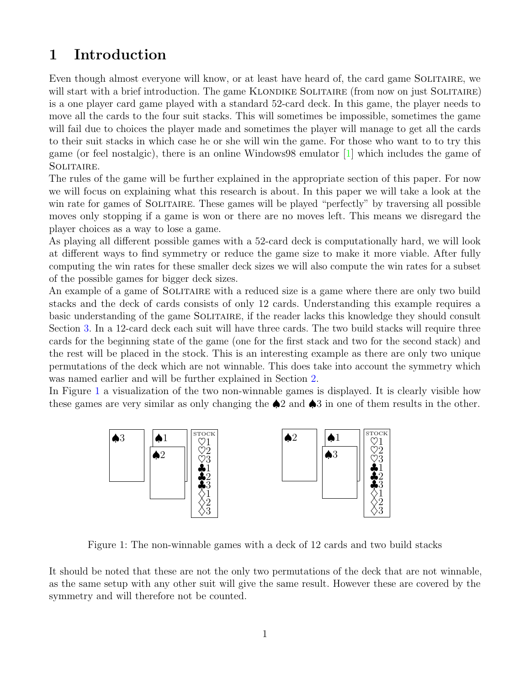# <span id="page-2-0"></span>1 Introduction

Even though almost everyone will know, or at least have heard of, the card game SOLITAIRE, we will start with a brief introduction. The game KLONDIKE SOLITAIRE (from now on just SOLITAIRE) is a one player card game played with a standard 52-card deck. In this game, the player needs to move all the cards to the four suit stacks. This will sometimes be impossible, sometimes the game will fail due to choices the player made and sometimes the player will manage to get all the cards to their suit stacks in which case he or she will win the game. For those who want to to try this game (or feel nostalgic), there is an online Windows98 emulator [\[1\]](#page-24-1) which includes the game of Solitaire.

The rules of the game will be further explained in the appropriate section of this paper. For now we will focus on explaining what this research is about. In this paper we will take a look at the win rate for games of SOLITAIRE. These games will be played "perfectly" by traversing all possible moves only stopping if a game is won or there are no moves left. This means we disregard the player choices as a way to lose a game.

As playing all different possible games with a 52-card deck is computationally hard, we will look at different ways to find symmetry or reduce the game size to make it more viable. After fully computing the win rates for these smaller deck sizes we will also compute the win rates for a subset of the possible games for bigger deck sizes.

An example of a game of SOLITAIRE with a reduced size is a game where there are only two build stacks and the deck of cards consists of only 12 cards. Understanding this example requires a basic understanding of the game SOLITAIRE, if the reader lacks this knowledge they should consult Section [3.](#page-4-0) In a 12-card deck each suit will have three cards. The two build stacks will require three cards for the beginning state of the game (one for the first stack and two for the second stack) and the rest will be placed in the stock. This is an interesting example as there are only two unique permutations of the deck which are not winnable. This does take into account the symmetry which was named earlier and will be further explained in Section [2.](#page-3-0)

<span id="page-2-1"></span>In Figure [1](#page-2-1) a visualization of the two non-winnable games is displayed. It is clearly visible how these games are very similar as only changing the ♠2 and ♠3 in one of them results in the other.



Figure 1: The non-winnable games with a deck of 12 cards and two build stacks

It should be noted that these are not the only two permutations of the deck that are not winnable, as the same setup with any other suit will give the same result. However these are covered by the symmetry and will therefore not be counted.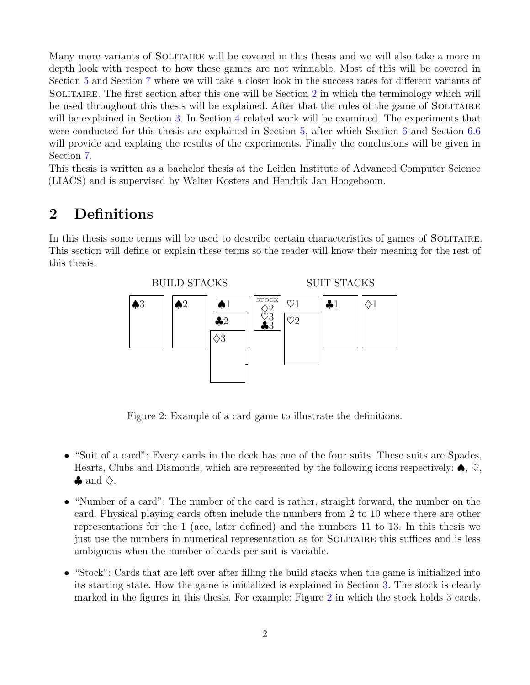Many more variants of SOLITAIRE will be covered in this thesis and we will also take a more in depth look with respect to how these games are not winnable. Most of this will be covered in Section [5](#page-9-0) and Section [7](#page-23-0) where we will take a closer look in the success rates for different variants of SOLITAIRE. The first section after this one will be Section [2](#page-3-0) in which the terminology which will be used throughout this thesis will be explained. After that the rules of the game of SOLITAIRE will be explained in Section [3.](#page-4-0) In Section [4](#page-8-0) related work will be examined. The experiments that were conducted for this thesis are explained in Section [5,](#page-9-0) after which Section [6](#page-11-0) and Section [6.6](#page-22-0) will provide and explaing the results of the experiments. Finally the conclusions will be given in Section [7.](#page-23-0)

This thesis is written as a bachelor thesis at the Leiden Institute of Advanced Computer Science (LIACS) and is supervised by Walter Kosters and Hendrik Jan Hoogeboom.

# <span id="page-3-0"></span>2 Definitions

<span id="page-3-1"></span>In this thesis some terms will be used to describe certain characteristics of games of SOLITAIRE. This section will define or explain these terms so the reader will know their meaning for the rest of this thesis.



Figure 2: Example of a card game to illustrate the definitions.

- "Suit of a card": Every cards in the deck has one of the four suits. These suits are Spades, Hearts, Clubs and Diamonds, which are represented by the following icons respectively:  $\spadesuit$ ,  $\heartsuit$ ,  $\clubsuit$  and  $\diamondsuit$ .
- "Number of a card": The number of the card is rather, straight forward, the number on the card. Physical playing cards often include the numbers from 2 to 10 where there are other representations for the 1 (ace, later defined) and the numbers 11 to 13. In this thesis we just use the numbers in numerical representation as for SOLITAIRE this suffices and is less ambiguous when the number of cards per suit is variable.
- "Stock": Cards that are left over after filling the build stacks when the game is initialized into its starting state. How the game is initialized is explained in Section [3.](#page-4-0) The stock is clearly marked in the figures in this thesis. For example: Figure [2](#page-3-1) in which the stock holds 3 cards.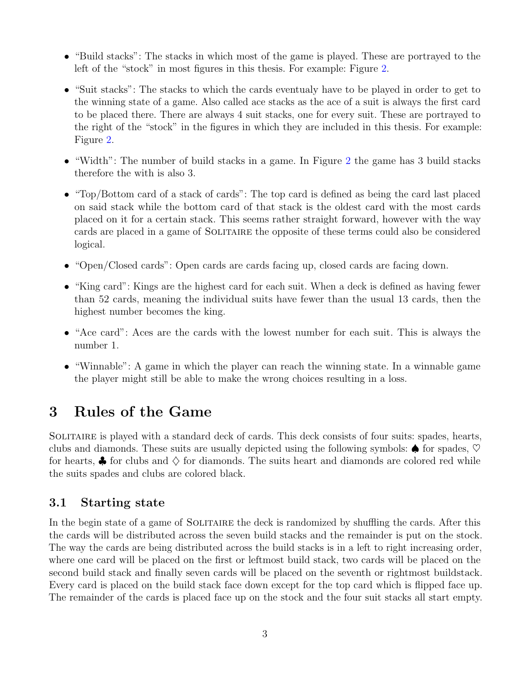- "Build stacks": The stacks in which most of the game is played. These are portrayed to the left of the "stock" in most figures in this thesis. For example: Figure [2.](#page-3-1)
- "Suit stacks": The stacks to which the cards eventualy have to be played in order to get to the winning state of a game. Also called ace stacks as the ace of a suit is always the first card to be placed there. There are always 4 suit stacks, one for every suit. These are portrayed to the right of the "stock" in the figures in which they are included in this thesis. For example: Figure [2.](#page-3-1)
- "Width": The number of build stacks in a game. In Figure [2](#page-3-1) the game has 3 build stacks therefore the with is also 3.
- "Top/Bottom card of a stack of cards": The top card is defined as being the card last placed on said stack while the bottom card of that stack is the oldest card with the most cards placed on it for a certain stack. This seems rather straight forward, however with the way cards are placed in a game of SOLITAIRE the opposite of these terms could also be considered logical.
- "Open/Closed cards": Open cards are cards facing up, closed cards are facing down.
- "King card": Kings are the highest card for each suit. When a deck is defined as having fewer than 52 cards, meaning the individual suits have fewer than the usual 13 cards, then the highest number becomes the king.
- "Ace card": Aces are the cards with the lowest number for each suit. This is always the number 1.
- "Winnable": A game in which the player can reach the winning state. In a winnable game the player might still be able to make the wrong choices resulting in a loss.

# <span id="page-4-0"></span>3 Rules of the Game

Solitaire is played with a standard deck of cards. This deck consists of four suits: spades, hearts, clubs and diamonds. These suits are usually depicted using the following symbols:  $\spadesuit$  for spades,  $\heartsuit$ for hearts,  $\clubsuit$  for clubs and  $\diamondsuit$  for diamonds. The suits heart and diamonds are colored red while the suits spades and clubs are colored black.

### <span id="page-4-1"></span>3.1 Starting state

In the begin state of a game of SOLITAIRE the deck is randomized by shuffling the cards. After this the cards will be distributed across the seven build stacks and the remainder is put on the stock. The way the cards are being distributed across the build stacks is in a left to right increasing order, where one card will be placed on the first or leftmost build stack, two cards will be placed on the second build stack and finally seven cards will be placed on the seventh or rightmost buildstack. Every card is placed on the build stack face down except for the top card which is flipped face up. The remainder of the cards is placed face up on the stock and the four suit stacks all start empty.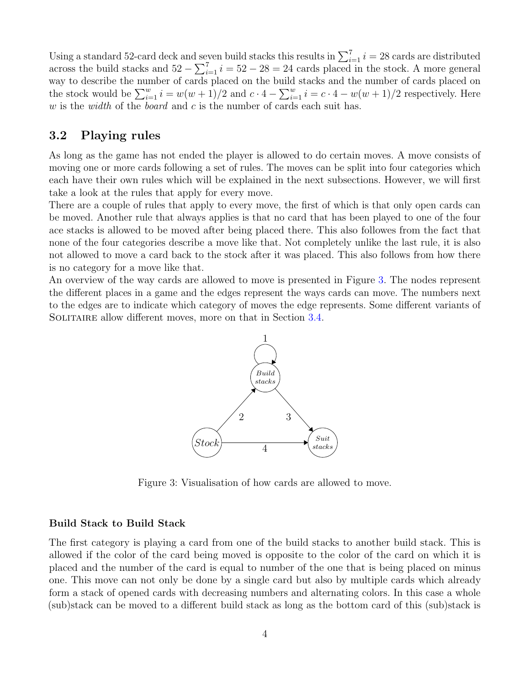Using a standard 52-card deck and seven build stacks this results in  $\sum_{i=1}^{7} i = 28$  cards are distributed across the build stacks and  $52 - \sum_{i=1}^{7} i = 52 - 28 = 24$  cards placed in the stock. A more general way to describe the number of cards placed on the build stacks and the number of cards placed on the stock would be  $\sum_{i=1}^{w} i = w(w+1)/2$  and  $c \cdot 4 - \sum_{i=1}^{w} i = c \cdot 4 - w(w+1)/2$  respectively. Here w is the width of the board and c is the number of cards each suit has.

### <span id="page-5-0"></span>3.2 Playing rules

As long as the game has not ended the player is allowed to do certain moves. A move consists of moving one or more cards following a set of rules. The moves can be split into four categories which each have their own rules which will be explained in the next subsections. However, we will first take a look at the rules that apply for every move.

There are a couple of rules that apply to every move, the first of which is that only open cards can be moved. Another rule that always applies is that no card that has been played to one of the four ace stacks is allowed to be moved after being placed there. This also followes from the fact that none of the four categories describe a move like that. Not completely unlike the last rule, it is also not allowed to move a card back to the stock after it was placed. This also follows from how there is no category for a move like that.

<span id="page-5-1"></span>An overview of the way cards are allowed to move is presented in Figure [3.](#page-5-1) The nodes represent the different places in a game and the edges represent the ways cards can move. The numbers next to the edges are to indicate which category of moves the edge represents. Some different variants of SOLITAIRE allow different moves, more on that in Section [3.4.](#page-7-1)



Figure 3: Visualisation of how cards are allowed to move.

#### Build Stack to Build Stack

The first category is playing a card from one of the build stacks to another build stack. This is allowed if the color of the card being moved is opposite to the color of the card on which it is placed and the number of the card is equal to number of the one that is being placed on minus one. This move can not only be done by a single card but also by multiple cards which already form a stack of opened cards with decreasing numbers and alternating colors. In this case a whole (sub)stack can be moved to a different build stack as long as the bottom card of this (sub)stack is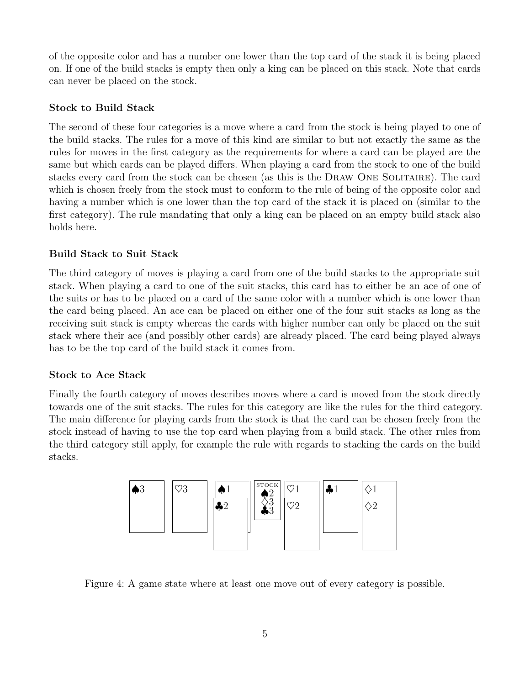of the opposite color and has a number one lower than the top card of the stack it is being placed on. If one of the build stacks is empty then only a king can be placed on this stack. Note that cards can never be placed on the stock.

### Stock to Build Stack

The second of these four categories is a move where a card from the stock is being played to one of the build stacks. The rules for a move of this kind are similar to but not exactly the same as the rules for moves in the first category as the requirements for where a card can be played are the same but which cards can be played differs. When playing a card from the stock to one of the build stacks every card from the stock can be chosen (as this is the Draw One Solitaire). The card which is chosen freely from the stock must to conform to the rule of being of the opposite color and having a number which is one lower than the top card of the stack it is placed on (similar to the first category). The rule mandating that only a king can be placed on an empty build stack also holds here.

### Build Stack to Suit Stack

The third category of moves is playing a card from one of the build stacks to the appropriate suit stack. When playing a card to one of the suit stacks, this card has to either be an ace of one of the suits or has to be placed on a card of the same color with a number which is one lower than the card being placed. An ace can be placed on either one of the four suit stacks as long as the receiving suit stack is empty whereas the cards with higher number can only be placed on the suit stack where their ace (and possibly other cards) are already placed. The card being played always has to be the top card of the build stack it comes from.

#### Stock to Ace Stack

Finally the fourth category of moves describes moves where a card is moved from the stock directly towards one of the suit stacks. The rules for this category are like the rules for the third category. The main difference for playing cards from the stock is that the card can be chosen freely from the stock instead of having to use the top card when playing from a build stack. The other rules from the third category still apply, for example the rule with regards to stacking the cards on the build stacks.



Figure 4: A game state where at least one move out of every category is possible.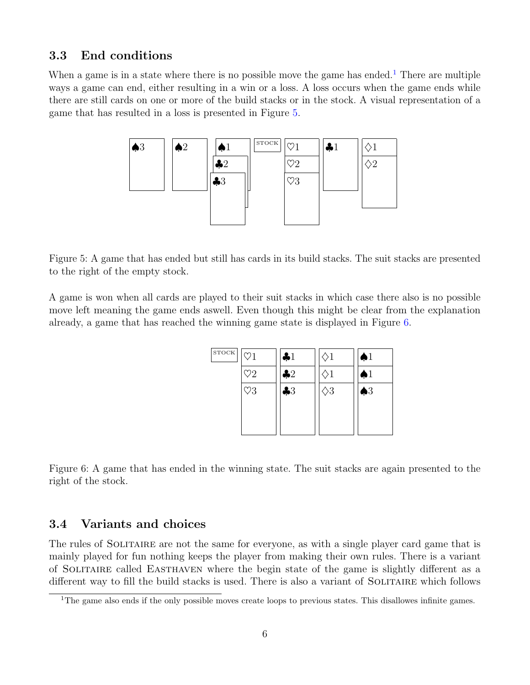### <span id="page-7-0"></span>3.3 End conditions

<span id="page-7-3"></span>When a game is in a state where there is no possible move the game has ended.<sup>[1](#page-7-2)</sup> There are multiple ways a game can end, either resulting in a win or a loss. A loss occurs when the game ends while there are still cards on one or more of the build stacks or in the stock. A visual representation of a game that has resulted in a loss is presented in Figure [5.](#page-7-3)



Figure 5: A game that has ended but still has cards in its build stacks. The suit stacks are presented to the right of the empty stock.

<span id="page-7-4"></span>A game is won when all cards are played to their suit stacks in which case there also is no possible move left meaning the game ends aswell. Even though this might be clear from the explanation already, a game that has reached the winning game state is displayed in Figure [6.](#page-7-4)

| <b>STOCK</b> | $\heartsuit1$ | $\clubsuit 1$ | $\Diamond 1$     | $\spadesuit$ 1 |
|--------------|---------------|---------------|------------------|----------------|
|              | $\heartsuit2$ | $\clubsuit 2$ |                  | $\spadesuit 1$ |
|              | $\heartsuit3$ | $\clubsuit 3$ | $\diamondsuit 3$ | $\spadesuit 3$ |
|              |               |               |                  |                |
|              |               |               |                  |                |

Figure 6: A game that has ended in the winning state. The suit stacks are again presented to the right of the stock.

#### <span id="page-7-1"></span>3.4 Variants and choices

The rules of SOLITAIRE are not the same for everyone, as with a single player card game that is mainly played for fun nothing keeps the player from making their own rules. There is a variant of Solitaire called Easthaven where the begin state of the game is slightly different as a different way to fill the build stacks is used. There is also a variant of SOLITAIRE which follows

<span id="page-7-2"></span><sup>&</sup>lt;sup>1</sup>The game also ends if the only possible moves create loops to previous states. This disallowes infinite games.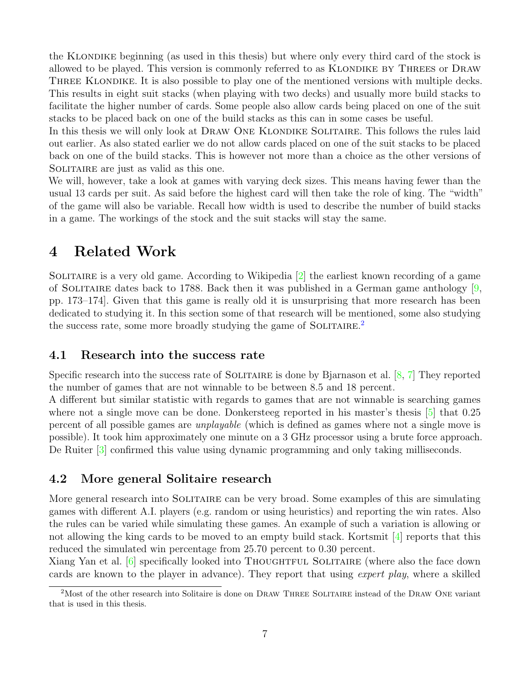the Klondike beginning (as used in this thesis) but where only every third card of the stock is allowed to be played. This version is commonly referred to as KLONDIKE BY THREES or DRAW THREE KLONDIKE. It is also possible to play one of the mentioned versions with multiple decks. This results in eight suit stacks (when playing with two decks) and usually more build stacks to facilitate the higher number of cards. Some people also allow cards being placed on one of the suit stacks to be placed back on one of the build stacks as this can in some cases be useful.

In this thesis we will only look at DRAW ONE KLONDIKE SOLITAIRE. This follows the rules laid out earlier. As also stated earlier we do not allow cards placed on one of the suit stacks to be placed back on one of the build stacks. This is however not more than a choice as the other versions of SOLITAIRE are just as valid as this one.

We will, however, take a look at games with varying deck sizes. This means having fewer than the usual 13 cards per suit. As said before the highest card will then take the role of king. The "width" of the game will also be variable. Recall how width is used to describe the number of build stacks in a game. The workings of the stock and the suit stacks will stay the same.

# <span id="page-8-0"></span>4 Related Work

SOLITAIRE is a very old game. According to Wikipedia  $[2]$  the earliest known recording of a game of SOLITAIRE dates back to 1788. Back then it was published in a German game anthology  $[9, 6]$  $[9, 6]$ pp. 173–174]. Given that this game is really old it is unsurprising that more research has been dedicated to studying it. In this section some of that research will be mentioned, some also studying the success rate, some more broadly studying the game of SOLITAIRE.<sup>[2](#page-8-3)</sup>

#### <span id="page-8-1"></span>4.1 Research into the success rate

Specific research into the success rate of SOLITAIRE is done by Bjarnason et al.  $[8, 7]$  $[8, 7]$  $[8, 7]$  They reported the number of games that are not winnable to be between 8.5 and 18 percent.

A different but similar statistic with regards to games that are not winnable is searching games where not a single move can be done. Donkersteeg reported in his master's thesis  $\boxed{5}$  that 0.25 percent of all possible games are unplayable (which is defined as games where not a single move is possible). It took him approximately one minute on a 3 GHz processor using a brute force approach. De Ruiter [\[3\]](#page-24-7) confirmed this value using dynamic programming and only taking milliseconds.

### <span id="page-8-2"></span>4.2 More general Solitaire research

More general research into SOLITAIRE can be very broad. Some examples of this are simulating games with different A.I. players (e.g. random or using heuristics) and reporting the win rates. Also the rules can be varied while simulating these games. An example of such a variation is allowing or not allowing the king cards to be moved to an empty build stack. Kortsmit  $[4]$  reports that this reduced the simulated win percentage from 25.70 percent to 0.30 percent.

Xiang Yan et al. [\[6\]](#page-24-9) specifically looked into THOUGHTFUL SOLITAIRE (where also the face down cards are known to the player in advance). They report that using *expert play*, where a skilled

<span id="page-8-3"></span><sup>&</sup>lt;sup>2</sup>Most of the other research into Solitaire is done on DRAW THREE SOLITAIRE instead of the DRAW ONE variant that is used in this thesis.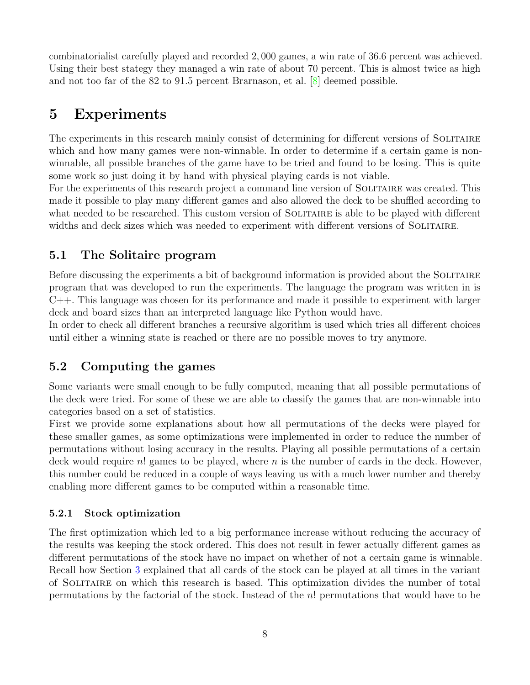combinatorialist carefully played and recorded 2, 000 games, a win rate of 36.6 percent was achieved. Using their best stategy they managed a win rate of about 70 percent. This is almost twice as high and not too far of the 82 to 91.5 percent Brarnason, et al. [\[8\]](#page-24-4) deemed possible.

# <span id="page-9-0"></span>5 Experiments

The experiments in this research mainly consist of determining for different versions of SOLITAIRE which and how many games were non-winnable. In order to determine if a certain game is nonwinnable, all possible branches of the game have to be tried and found to be losing. This is quite some work so just doing it by hand with physical playing cards is not viable.

For the experiments of this research project a command line version of SOLITAIRE was created. This made it possible to play many different games and also allowed the deck to be shuffled according to what needed to be researched. This custom version of SOLITAIRE is able to be played with different widths and deck sizes which was needed to experiment with different versions of SOLITAIRE.

# <span id="page-9-1"></span>5.1 The Solitaire program

Before discussing the experiments a bit of background information is provided about the SOLITAIRE program that was developed to run the experiments. The language the program was written in is C++. This language was chosen for its performance and made it possible to experiment with larger deck and board sizes than an interpreted language like Python would have.

In order to check all different branches a recursive algorithm is used which tries all different choices until either a winning state is reached or there are no possible moves to try anymore.

# <span id="page-9-2"></span>5.2 Computing the games

Some variants were small enough to be fully computed, meaning that all possible permutations of the deck were tried. For some of these we are able to classify the games that are non-winnable into categories based on a set of statistics.

First we provide some explanations about how all permutations of the decks were played for these smaller games, as some optimizations were implemented in order to reduce the number of permutations without losing accuracy in the results. Playing all possible permutations of a certain deck would require n! games to be played, where n is the number of cards in the deck. However, this number could be reduced in a couple of ways leaving us with a much lower number and thereby enabling more different games to be computed within a reasonable time.

### <span id="page-9-3"></span>5.2.1 Stock optimization

The first optimization which led to a big performance increase without reducing the accuracy of the results was keeping the stock ordered. This does not result in fewer actually different games as different permutations of the stock have no impact on whether of not a certain game is winnable. Recall how Section [3](#page-4-0) explained that all cards of the stock can be played at all times in the variant of Solitaire on which this research is based. This optimization divides the number of total permutations by the factorial of the stock. Instead of the n! permutations that would have to be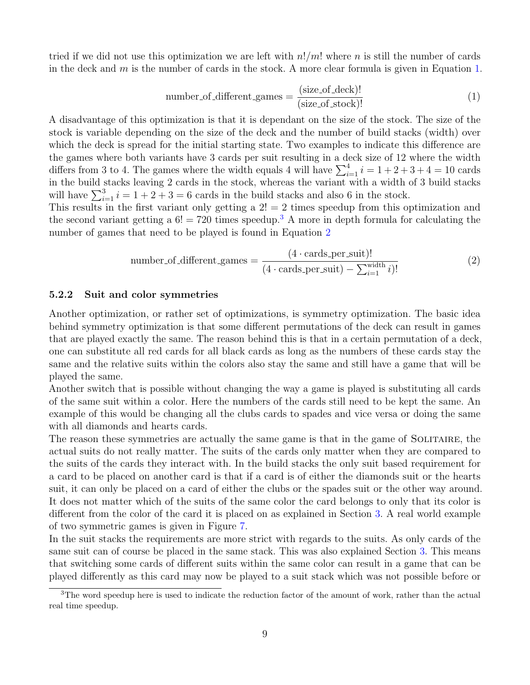<span id="page-10-1"></span>tried if we did not use this optimization we are left with  $n!/m!$  where n is still the number of cards in the deck and  $m$  is the number of cards in the stock. A more clear formula is given in Equation [1.](#page-10-1)

$$
number_of_different\_ games = \frac{(size_of_deck)!}{(size_of_stock)!}
$$
\n(1)

A disadvantage of this optimization is that it is dependant on the size of the stock. The size of the stock is variable depending on the size of the deck and the number of build stacks (width) over which the deck is spread for the initial starting state. Two examples to indicate this difference are the games where both variants have 3 cards per suit resulting in a deck size of 12 where the width differs from 3 to 4. The games where the width equals 4 will have  $\sum_{i=1}^{4} i = 1 + 2 + 3 + 4 = 10$  cards in the build stacks leaving 2 cards in the stock, whereas the variant with a width of 3 build stacks will have  $\sum_{i=1}^{3} i = 1 + 2 + 3 = 6$  cards in the build stacks and also 6 in the stock.

<span id="page-10-3"></span>This results in the first variant only getting a  $2! = 2$  times speedup from this optimization and the second variant getting a  $6! = 720$  times speedup.<sup>[3](#page-10-2)</sup> A more in depth formula for calculating the number of games that need to be played is found in Equation [2](#page-10-3)

number\_of\_different\_games = 
$$
\frac{(4 \cdot \text{cards\_per\_suit})!}{(4 \cdot \text{cards\_per\_suit}) - \sum_{i=1}^{\text{width}} i)!}
$$
(2)

#### <span id="page-10-0"></span>5.2.2 Suit and color symmetries

Another optimization, or rather set of optimizations, is symmetry optimization. The basic idea behind symmetry optimization is that some different permutations of the deck can result in games that are played exactly the same. The reason behind this is that in a certain permutation of a deck, one can substitute all red cards for all black cards as long as the numbers of these cards stay the same and the relative suits within the colors also stay the same and still have a game that will be played the same.

Another switch that is possible without changing the way a game is played is substituting all cards of the same suit within a color. Here the numbers of the cards still need to be kept the same. An example of this would be changing all the clubs cards to spades and vice versa or doing the same with all diamonds and hearts cards.

The reason these symmetries are actually the same game is that in the game of SOLITAIRE, the actual suits do not really matter. The suits of the cards only matter when they are compared to the suits of the cards they interact with. In the build stacks the only suit based requirement for a card to be placed on another card is that if a card is of either the diamonds suit or the hearts suit, it can only be placed on a card of either the clubs or the spades suit or the other way around. It does not matter which of the suits of the same color the card belongs to only that its color is different from the color of the card it is placed on as explained in Section [3.](#page-4-0) A real world example of two symmetric games is given in Figure [7.](#page-11-1)

In the suit stacks the requirements are more strict with regards to the suits. As only cards of the same suit can of course be placed in the same stack. This was also explained Section [3.](#page-4-0) This means that switching some cards of different suits within the same color can result in a game that can be played differently as this card may now be played to a suit stack which was not possible before or

<span id="page-10-2"></span><sup>3</sup>The word speedup here is used to indicate the reduction factor of the amount of work, rather than the actual real time speedup.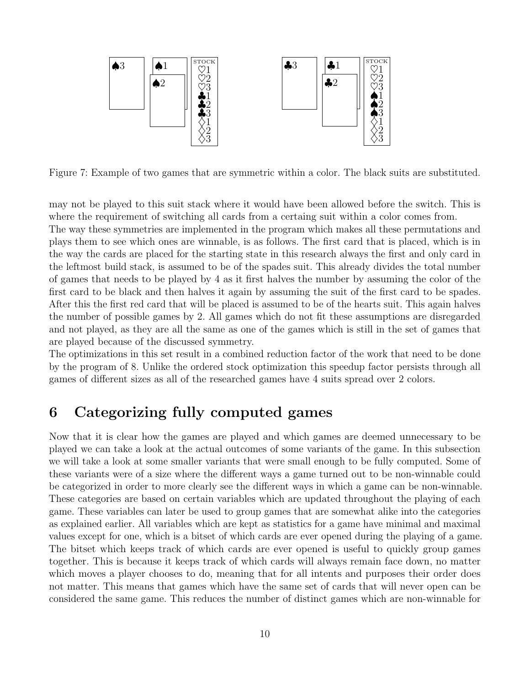<span id="page-11-1"></span>

Figure 7: Example of two games that are symmetric within a color. The black suits are substituted.

may not be played to this suit stack where it would have been allowed before the switch. This is where the requirement of switching all cards from a certaing suit within a color comes from.

The way these symmetries are implemented in the program which makes all these permutations and plays them to see which ones are winnable, is as follows. The first card that is placed, which is in the way the cards are placed for the starting state in this research always the first and only card in the leftmost build stack, is assumed to be of the spades suit. This already divides the total number of games that needs to be played by 4 as it first halves the number by assuming the color of the first card to be black and then halves it again by assuming the suit of the first card to be spades. After this the first red card that will be placed is assumed to be of the hearts suit. This again halves the number of possible games by 2. All games which do not fit these assumptions are disregarded and not played, as they are all the same as one of the games which is still in the set of games that are played because of the discussed symmetry.

The optimizations in this set result in a combined reduction factor of the work that need to be done by the program of 8. Unlike the ordered stock optimization this speedup factor persists through all games of different sizes as all of the researched games have 4 suits spread over 2 colors.

# <span id="page-11-0"></span>6 Categorizing fully computed games

Now that it is clear how the games are played and which games are deemed unnecessary to be played we can take a look at the actual outcomes of some variants of the game. In this subsection we will take a look at some smaller variants that were small enough to be fully computed. Some of these variants were of a size where the different ways a game turned out to be non-winnable could be categorized in order to more clearly see the different ways in which a game can be non-winnable. These categories are based on certain variables which are updated throughout the playing of each game. These variables can later be used to group games that are somewhat alike into the categories as explained earlier. All variables which are kept as statistics for a game have minimal and maximal values except for one, which is a bitset of which cards are ever opened during the playing of a game. The bitset which keeps track of which cards are ever opened is useful to quickly group games together. This is because it keeps track of which cards will always remain face down, no matter which moves a player chooses to do, meaning that for all intents and purposes their order does not matter. This means that games which have the same set of cards that will never open can be considered the same game. This reduces the number of distinct games which are non-winnable for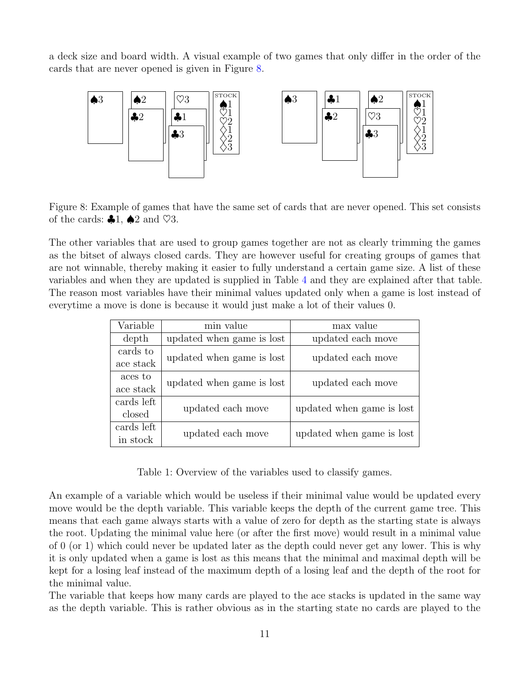a deck size and board width. A visual example of two games that only differ in the order of the cards that are never opened is given in Figure [8.](#page-12-0)

<span id="page-12-0"></span>

Figure 8: Example of games that have the same set of cards that are never opened. This set consists of the cards:  $\clubsuit 1$ ,  $\spadesuit 2$  and  $\heartsuit 3$ .

The other variables that are used to group games together are not as clearly trimming the games as the bitset of always closed cards. They are however useful for creating groups of games that are not winnable, thereby making it easier to fully understand a certain game size. A list of these variables and when they are updated is supplied in Table [4](#page-16-0) and they are explained after that table. The reason most variables have their minimal values updated only when a game is lost instead of everytime a move is done is because it would just make a lot of their values 0.

| Variable               | min value                 | max value                 |  |  |  |
|------------------------|---------------------------|---------------------------|--|--|--|
| depth                  | updated when game is lost | updated each move         |  |  |  |
| cards to<br>ace stack  | updated when game is lost | updated each move         |  |  |  |
| aces to<br>ace stack   | updated when game is lost | updated each move         |  |  |  |
| cards left<br>closed   | updated each move         | updated when game is lost |  |  |  |
| cards left<br>in stock | updated each move         | updated when game is lost |  |  |  |

Table 1: Overview of the variables used to classify games.

An example of a variable which would be useless if their minimal value would be updated every move would be the depth variable. This variable keeps the depth of the current game tree. This means that each game always starts with a value of zero for depth as the starting state is always the root. Updating the minimal value here (or after the first move) would result in a minimal value of 0 (or 1) which could never be updated later as the depth could never get any lower. This is why it is only updated when a game is lost as this means that the minimal and maximal depth will be kept for a losing leaf instead of the maximum depth of a losing leaf and the depth of the root for the minimal value.

The variable that keeps how many cards are played to the ace stacks is updated in the same way as the depth variable. This is rather obvious as in the starting state no cards are played to the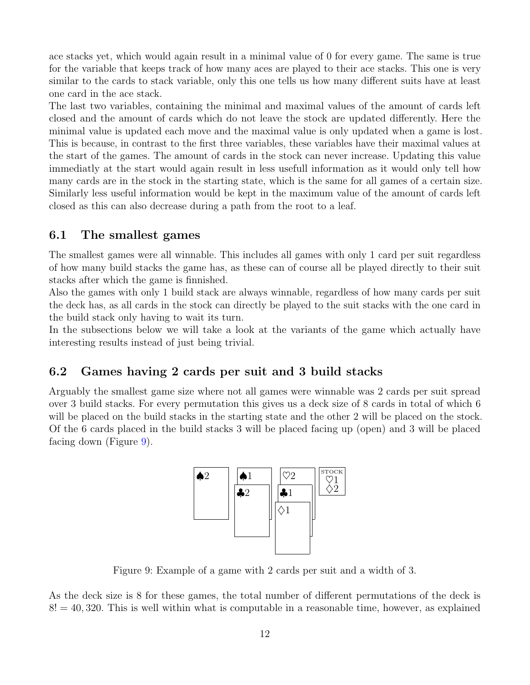ace stacks yet, which would again result in a minimal value of 0 for every game. The same is true for the variable that keeps track of how many aces are played to their ace stacks. This one is very similar to the cards to stack variable, only this one tells us how many different suits have at least one card in the ace stack.

The last two variables, containing the minimal and maximal values of the amount of cards left closed and the amount of cards which do not leave the stock are updated differently. Here the minimal value is updated each move and the maximal value is only updated when a game is lost. This is because, in contrast to the first three variables, these variables have their maximal values at the start of the games. The amount of cards in the stock can never increase. Updating this value immediatly at the start would again result in less usefull information as it would only tell how many cards are in the stock in the starting state, which is the same for all games of a certain size. Similarly less useful information would be kept in the maximum value of the amount of cards left closed as this can also decrease during a path from the root to a leaf.

### <span id="page-13-0"></span>6.1 The smallest games

The smallest games were all winnable. This includes all games with only 1 card per suit regardless of how many build stacks the game has, as these can of course all be played directly to their suit stacks after which the game is finnished.

Also the games with only 1 build stack are always winnable, regardless of how many cards per suit the deck has, as all cards in the stock can directly be played to the suit stacks with the one card in the build stack only having to wait its turn.

In the subsections below we will take a look at the variants of the game which actually have interesting results instead of just being trivial.

### <span id="page-13-1"></span>6.2 Games having 2 cards per suit and 3 build stacks

<span id="page-13-2"></span>Arguably the smallest game size where not all games were winnable was 2 cards per suit spread over 3 build stacks. For every permutation this gives us a deck size of 8 cards in total of which 6 will be placed on the build stacks in the starting state and the other 2 will be placed on the stock. Of the 6 cards placed in the build stacks 3 will be placed facing up (open) and 3 will be placed facing down (Figure [9\)](#page-13-2).



Figure 9: Example of a game with 2 cards per suit and a width of 3.

As the deck size is 8 for these games, the total number of different permutations of the deck is  $8! = 40,320$ . This is well within what is computable in a reasonable time, however, as explained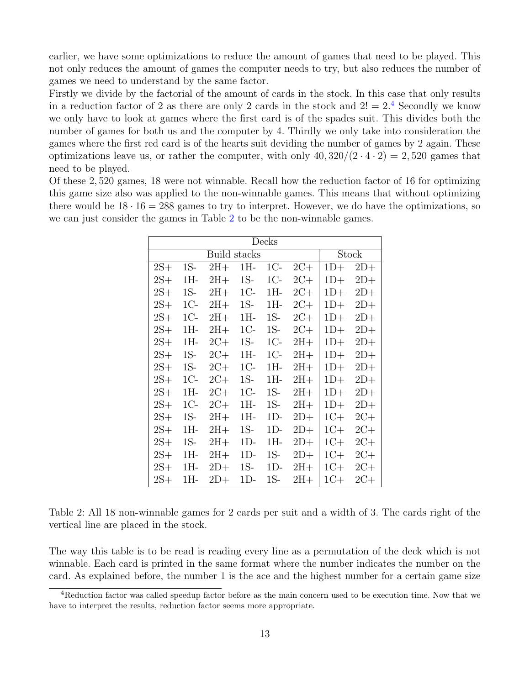earlier, we have some optimizations to reduce the amount of games that need to be played. This not only reduces the amount of games the computer needs to try, but also reduces the number of games we need to understand by the same factor.

Firstly we divide by the factorial of the amount of cards in the stock. In this case that only results in a reduction factor of 2 as there are only 2 cards in the stock and  $2! = 2.4$  $2! = 2.4$  Secondly we know we only have to look at games where the first card is of the spades suit. This divides both the number of games for both us and the computer by 4. Thirdly we only take into consideration the games where the first red card is of the hearts suit deviding the number of games by 2 again. These optimizations leave us, or rather the computer, with only  $40,320/(2 \cdot 4 \cdot 2) = 2,520$  games that need to be played.

<span id="page-14-1"></span>Of these 2, 520 games, 18 were not winnable. Recall how the reduction factor of 16 for optimizing this game size also was applied to the non-winnable games. This means that without optimizing there would be  $18 \cdot 16 = 288$  games to try to interpret. However, we do have the optimizations, so we can just consider the games in Table [2](#page-14-1) to be the non-winnable games.

| Decks |       |       |       |       |       |       |       |  |  |  |
|-------|-------|-------|-------|-------|-------|-------|-------|--|--|--|
|       |       | Stock |       |       |       |       |       |  |  |  |
| $2S+$ | 1S-   | $2H+$ | $1H-$ | $1C-$ | $2C+$ | $1D+$ | $2D+$ |  |  |  |
| $2S+$ | 1H-   | $2H+$ | $1S-$ | $1C-$ | $2C+$ | $1D+$ | $2D+$ |  |  |  |
| $2S+$ | $1S-$ | $2H+$ | $1C-$ | 1H-   | $2C+$ | $1D+$ | $2D+$ |  |  |  |
| $2S+$ | $1C-$ | $2H+$ | $1S-$ | 1H-   | $2C+$ | $1D+$ | $2D+$ |  |  |  |
| $2S+$ | $1C-$ | $2H+$ | $1H-$ | $1S-$ | $2C+$ | $1D+$ | $2D+$ |  |  |  |
| $2S+$ | 1H-   | $2H+$ | $1C-$ | $1S-$ | $2C+$ | $1D+$ | $2D+$ |  |  |  |
| $2S+$ | 1H-   | $2C+$ | $1S-$ | $1C-$ | $2H+$ | $1D+$ | $2D+$ |  |  |  |
| $2S+$ | $1S-$ | $2C+$ | 1H-   | $1C-$ | $2H+$ | $1D+$ | $2D+$ |  |  |  |
| $2S+$ | $1S-$ | $2C+$ | $1C-$ | 1H-   | $2H+$ | $1D+$ | $2D+$ |  |  |  |
| $2S+$ | 1C-   | $2C+$ | $1S-$ | 1H-   | $2H+$ | $1D+$ | $2D+$ |  |  |  |
| $2S+$ | 1H-   | $2C+$ | $1C-$ | $1S-$ | $2H+$ | $1D+$ | $2D+$ |  |  |  |
| $2S+$ | $1C-$ | $2C+$ | $1H-$ | $1S-$ | $2H+$ | $1D+$ | $2D+$ |  |  |  |
| $2S+$ | $1S-$ | $2H+$ | 1H-   | $1D-$ | $2D+$ | $1C+$ | $2C+$ |  |  |  |
| $2S+$ | 1H-   | $2H+$ | $1S-$ | 1D-   | $2D+$ | $1C+$ | $2C+$ |  |  |  |
| $2S+$ | $1S-$ | $2H+$ | 1D-   | 1H-   | $2D+$ | $1C+$ | $2C+$ |  |  |  |
| $2S+$ | 1H-   | $2H+$ | 1D-   | $1S-$ | $2D+$ | $1C+$ | $2C+$ |  |  |  |
| $2S+$ | 1H-   | $2D+$ | 1S-   | 1D-   | $2H+$ | $1C+$ | $2C+$ |  |  |  |
| $2S+$ | 1H-   | $2D+$ | $1D-$ | $1S-$ | $2H+$ | $1C+$ | $2C+$ |  |  |  |

Table 2: All 18 non-winnable games for 2 cards per suit and a width of 3. The cards right of the vertical line are placed in the stock.

The way this table is to be read is reading every line as a permutation of the deck which is not winnable. Each card is printed in the same format where the number indicates the number on the card. As explained before, the number 1 is the ace and the highest number for a certain game size

<span id="page-14-0"></span><sup>4</sup>Reduction factor was called speedup factor before as the main concern used to be execution time. Now that we have to interpret the results, reduction factor seems more appropriate.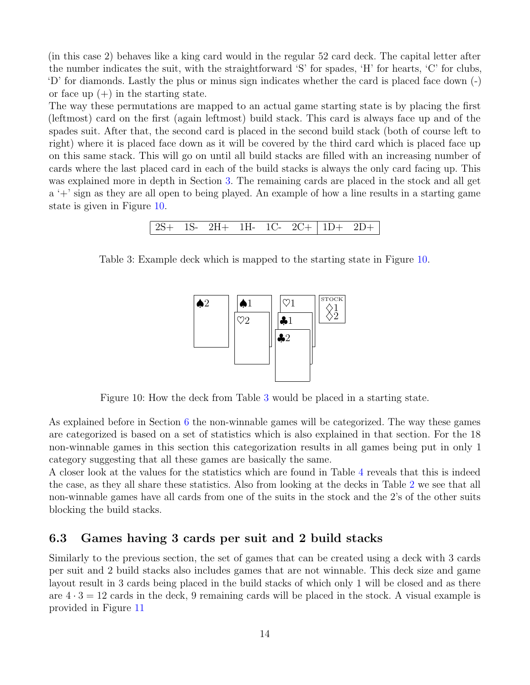(in this case 2) behaves like a king card would in the regular 52 card deck. The capital letter after the number indicates the suit, with the straightforward 'S' for spades, 'H' for hearts, 'C' for clubs, 'D' for diamonds. Lastly the plus or minus sign indicates whether the card is placed face down (-) or face up  $(+)$  in the starting state.

The way these permutations are mapped to an actual game starting state is by placing the first (leftmost) card on the first (again leftmost) build stack. This card is always face up and of the spades suit. After that, the second card is placed in the second build stack (both of course left to right) where it is placed face down as it will be covered by the third card which is placed face up on this same stack. This will go on until all build stacks are filled with an increasing number of cards where the last placed card in each of the build stacks is always the only card facing up. This was explained more in depth in Section [3.](#page-4-0) The remaining cards are placed in the stock and all get a '+' sign as they are all open to being played. An example of how a line results in a starting game state is given in Figure [10.](#page-15-1)

```
2S+ 1S- 2H+ 1H- 1C- 2C+ 1D+ 2D+
```
<span id="page-15-2"></span><span id="page-15-1"></span>Table 3: Example deck which is mapped to the starting state in Figure [10.](#page-15-1)



Figure 10: How the deck from Table [3](#page-15-2) would be placed in a starting state.

As explained before in Section [6](#page-11-0) the non-winnable games will be categorized. The way these games are categorized is based on a set of statistics which is also explained in that section. For the 18 non-winnable games in this section this categorization results in all games being put in only 1 category suggesting that all these games are basically the same.

A closer look at the values for the statistics which are found in Table [4](#page-16-0) reveals that this is indeed the case, as they all share these statistics. Also from looking at the decks in Table [2](#page-14-1) we see that all non-winnable games have all cards from one of the suits in the stock and the 2's of the other suits blocking the build stacks.

#### <span id="page-15-0"></span>6.3 Games having 3 cards per suit and 2 build stacks

Similarly to the previous section, the set of games that can be created using a deck with 3 cards per suit and 2 build stacks also includes games that are not winnable. This deck size and game layout result in 3 cards being placed in the build stacks of which only 1 will be closed and as there are  $4 \cdot 3 = 12$  cards in the deck, 9 remaining cards will be placed in the stock. A visual example is provided in Figure [11](#page-16-1)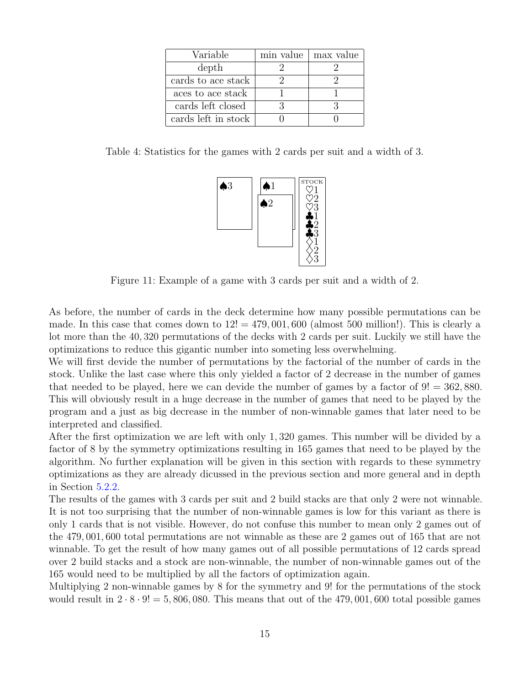<span id="page-16-0"></span>

| Variable            | min value | max value |
|---------------------|-----------|-----------|
| depth               |           |           |
| cards to ace stack  |           |           |
| aces to ace stack   |           |           |
| cards left closed   |           |           |
| cards left in stock |           |           |

<span id="page-16-1"></span>Table 4: Statistics for the games with 2 cards per suit and a width of 3.



Figure 11: Example of a game with 3 cards per suit and a width of 2.

As before, the number of cards in the deck determine how many possible permutations can be made. In this case that comes down to  $12! = 479,001,600$  (almost 500 million!). This is clearly a lot more than the 40, 320 permutations of the decks with 2 cards per suit. Luckily we still have the optimizations to reduce this gigantic number into someting less overwhelming.

We will first devide the number of permutations by the factorial of the number of cards in the stock. Unlike the last case where this only yielded a factor of 2 decrease in the number of games that needed to be played, here we can devide the number of games by a factor of  $9! = 362,880$ . This will obviously result in a huge decrease in the number of games that need to be played by the program and a just as big decrease in the number of non-winnable games that later need to be interpreted and classified.

After the first optimization we are left with only 1, 320 games. This number will be divided by a factor of 8 by the symmetry optimizations resulting in 165 games that need to be played by the algorithm. No further explanation will be given in this section with regards to these symmetry optimizations as they are already dicussed in the previous section and more general and in depth in Section [5.2.2.](#page-10-0)

The results of the games with 3 cards per suit and 2 build stacks are that only 2 were not winnable. It is not too surprising that the number of non-winnable games is low for this variant as there is only 1 cards that is not visible. However, do not confuse this number to mean only 2 games out of the 479, 001, 600 total permutations are not winnable as these are 2 games out of 165 that are not winnable. To get the result of how many games out of all possible permutations of 12 cards spread over 2 build stacks and a stock are non-winnable, the number of non-winnable games out of the 165 would need to be multiplied by all the factors of optimization again.

Multiplying 2 non-winnable games by 8 for the symmetry and 9! for the permutations of the stock would result in  $2 \cdot 8 \cdot 9! = 5,806,080$ . This means that out of the 479,001,600 total possible games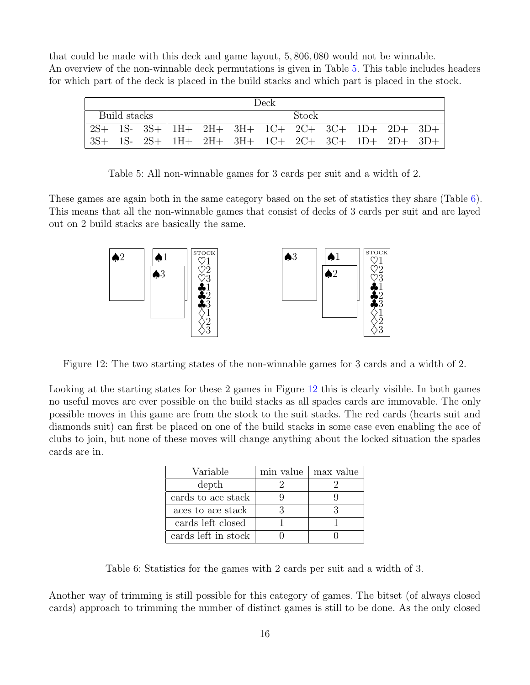that could be made with this deck and game layout, 5, 806, 080 would not be winnable. An overview of the non-winnable deck permutations is given in Table [5.](#page-17-0) This table includes headers for which part of the deck is placed in the build stacks and which part is placed in the stock.

<span id="page-17-0"></span>

| Deck         |  |  |  |  |  |  |       |  |  |                                                    |  |
|--------------|--|--|--|--|--|--|-------|--|--|----------------------------------------------------|--|
| Build stacks |  |  |  |  |  |  | Stock |  |  |                                                    |  |
|              |  |  |  |  |  |  |       |  |  | $2S+ 1S- 3S+  1H+ 2H+ 3H+ 1C+ 2C+ 3C+ 1D+ 2D+ 3D+$ |  |
|              |  |  |  |  |  |  |       |  |  | $3S+ 1S- 2S+ 1H+ 2H+ 3H+ 1C+ 2C+ 3C+ 1D+ 2D+ 3D+$  |  |

Table 5: All non-winnable games for 3 cards per suit and a width of 2.

<span id="page-17-2"></span>These games are again both in the same category based on the set of statistics they share (Table [6\)](#page-17-1). This means that all the non-winnable games that consist of decks of 3 cards per suit and are layed out on 2 build stacks are basically the same.



Figure 12: The two starting states of the non-winnable games for 3 cards and a width of 2.

<span id="page-17-1"></span>Looking at the starting states for these 2 games in Figure [12](#page-17-2) this is clearly visible. In both games no useful moves are ever possible on the build stacks as all spades cards are immovable. The only possible moves in this game are from the stock to the suit stacks. The red cards (hearts suit and diamonds suit) can first be placed on one of the build stacks in some case even enabling the ace of clubs to join, but none of these moves will change anything about the locked situation the spades cards are in.

| Variable            | min value | max value |
|---------------------|-----------|-----------|
| depth               |           |           |
| cards to ace stack  |           |           |
| aces to ace stack   |           |           |
| cards left closed   |           |           |
| cards left in stock |           |           |

Table 6: Statistics for the games with 2 cards per suit and a width of 3.

Another way of trimming is still possible for this category of games. The bitset (of always closed cards) approach to trimming the number of distinct games is still to be done. As the only closed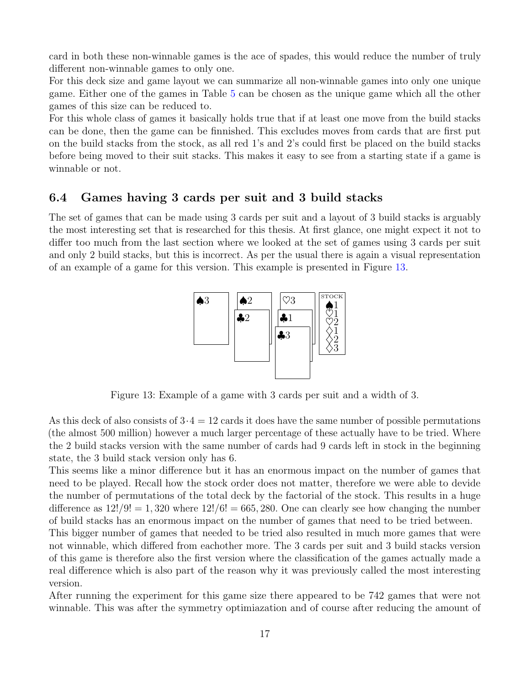card in both these non-winnable games is the ace of spades, this would reduce the number of truly different non-winnable games to only one.

For this deck size and game layout we can summarize all non-winnable games into only one unique game. Either one of the games in Table [5](#page-17-0) can be chosen as the unique game which all the other games of this size can be reduced to.

For this whole class of games it basically holds true that if at least one move from the build stacks can be done, then the game can be finnished. This excludes moves from cards that are first put on the build stacks from the stock, as all red 1's and 2's could first be placed on the build stacks before being moved to their suit stacks. This makes it easy to see from a starting state if a game is winnable or not.

### <span id="page-18-0"></span>6.4 Games having 3 cards per suit and 3 build stacks

<span id="page-18-1"></span>The set of games that can be made using 3 cards per suit and a layout of 3 build stacks is arguably the most interesting set that is researched for this thesis. At first glance, one might expect it not to differ too much from the last section where we looked at the set of games using 3 cards per suit and only 2 build stacks, but this is incorrect. As per the usual there is again a visual representation of an example of a game for this version. This example is presented in Figure [13.](#page-18-1)



Figure 13: Example of a game with 3 cards per suit and a width of 3.

As this deck of also consists of  $3 \cdot 4 = 12$  cards it does have the same number of possible permutations (the almost 500 million) however a much larger percentage of these actually have to be tried. Where the 2 build stacks version with the same number of cards had 9 cards left in stock in the beginning state, the 3 build stack version only has 6.

This seems like a minor difference but it has an enormous impact on the number of games that need to be played. Recall how the stock order does not matter, therefore we were able to devide the number of permutations of the total deck by the factorial of the stock. This results in a huge difference as  $12!/9! = 1,320$  where  $12!/6! = 665,280$ . One can clearly see how changing the number of build stacks has an enormous impact on the number of games that need to be tried between.

This bigger number of games that needed to be tried also resulted in much more games that were not winnable, which differed from eachother more. The 3 cards per suit and 3 build stacks version of this game is therefore also the first version where the classification of the games actually made a real difference which is also part of the reason why it was previously called the most interesting version.

After running the experiment for this game size there appeared to be 742 games that were not winnable. This was after the symmetry optimiazation and of course after reducing the amount of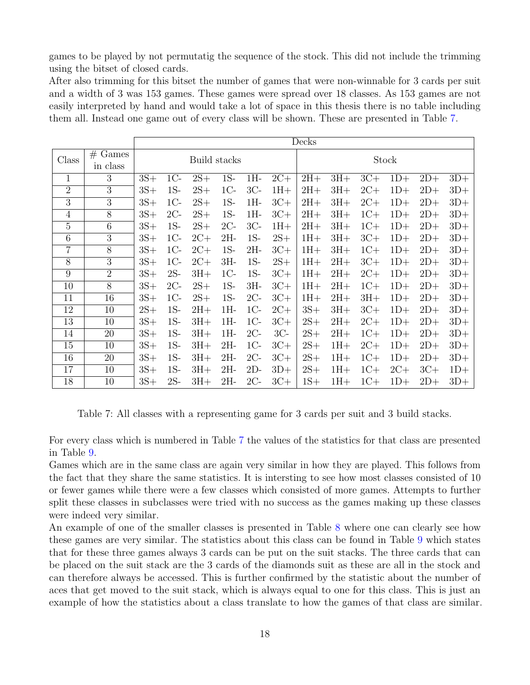games to be played by not permutatig the sequence of the stock. This did not include the trimming using the bitset of closed cards.

After also trimming for this bitset the number of games that were non-winnable for 3 cards per suit and a width of 3 was 153 games. These games were spread over 18 classes. As 153 games are not easily interpreted by hand and would take a lot of space in this thesis there is no table including them all. Instead one game out of every class will be shown. These are presented in Table [7.](#page-19-0)

<span id="page-19-0"></span>

|                |                |       |              |       |        |        |       | Decks |       |       |       |       |       |
|----------------|----------------|-------|--------------|-------|--------|--------|-------|-------|-------|-------|-------|-------|-------|
| Class          | Games<br>#     |       | Build stacks |       |        | Stock  |       |       |       |       |       |       |       |
|                | in class       |       |              |       |        |        |       |       |       |       |       |       |       |
| 1              | 3              | $3S+$ | $1C-$        | $2S+$ | $1S-$  | $1H-$  | $2C+$ | $2H+$ | $3H+$ | $3C+$ | $1D+$ | $2D+$ | $3D+$ |
| $\overline{2}$ | 3              | $3S+$ | $1S-$        | $2S+$ | $1C-$  | $3C-$  | $1H+$ | $2H+$ | $3H+$ | $2C+$ | $1D+$ | $2D+$ | $3D+$ |
| 3              | 3              | $3S+$ | $1C-$        | $2S+$ | $1S-$  | $1H-$  | $3C+$ | $2H+$ | $3H+$ | $2C+$ | $1D+$ | $2D+$ | $3D+$ |
| $\overline{4}$ | $8\,$          | $3S+$ | $2C-$        | $2S+$ | $1S-$  | $1H-$  | $3C+$ | $2H+$ | $3H+$ | $1C+$ | $1D+$ | $2D+$ | $3D+$ |
| $\overline{5}$ | $\overline{6}$ | $3S+$ | $1S-$        | $2S+$ | $2C-$  | $3C-$  | $1H+$ | $2H+$ | $3H+$ | $1C+$ | $1D+$ | $2D+$ | $3D+$ |
| 6              | $\overline{3}$ | $3S+$ | $1C-$        | $2C+$ | $2H-$  | $1S-$  | $2S+$ | $1H+$ | $3H+$ | $3C+$ | $1D+$ | $2D+$ | $3D+$ |
| $\overline{7}$ | $\overline{8}$ | $3S+$ | $1C-$        | $2C+$ | $1S-$  | $2H -$ | $3C+$ | $1H+$ | $3H+$ | $1C+$ | $1D+$ | $2D+$ | $3D+$ |
| 8              | 3              | $3S+$ | $1C-$        | $2C+$ | $3H -$ | $1S-$  | $2S+$ | $1H+$ | $2H+$ | $3C+$ | $1D+$ | $2D+$ | $3D+$ |
| 9              | $\overline{2}$ | $3S+$ | $2S-$        | $3H+$ | $1C-$  | $1S-$  | $3C+$ | $1H+$ | $2H+$ | $2C+$ | $1D+$ | $2D+$ | $3D+$ |
| 10             | 8              | $3S+$ | $2C-$        | $2S+$ | $1S-$  | $3H -$ | $3C+$ | $1H+$ | $2H+$ | $1C+$ | $1D+$ | $2D+$ | $3D+$ |
| 11             | 16             | $3S+$ | $1C-$        | $2S+$ | $1S-$  | $2C-$  | $3C+$ | $1H+$ | $2H+$ | $3H+$ | $1D+$ | $2D+$ | $3D+$ |
| 12             | 10             | $2S+$ | $1S-$        | $2H+$ | $1H-$  | $1C-$  | $2C+$ | $3S+$ | $3H+$ | $3C+$ | $1D+$ | $2D+$ | $3D+$ |
| 13             | 10             | $3S+$ | $1S-$        | $3H+$ | $1H-$  | $1C-$  | $3C+$ | $2S+$ | $2H+$ | $2C+$ | $1D+$ | $2D+$ | $3D+$ |
| 14             | 20             | $3S+$ | $1S-$        | $3H+$ | $1H-$  | $2C-$  | $3C-$ | $2S+$ | $2H+$ | $1C+$ | $1D+$ | $2D+$ | $3D+$ |
| 15             | 10             | $3S+$ | $1S-$        | $3H+$ | $2H -$ | $1C-$  | $3C+$ | $2S+$ | $1H+$ | $2C+$ | $1D+$ | $2D+$ | $3D+$ |
| 16             | 20             | $3S+$ | $1S-$        | $3H+$ | $2H-$  | $2C-$  | $3C+$ | $2S+$ | $1H+$ | $1C+$ | $1D+$ | $2D+$ | $3D+$ |
| 17             | 10             | $3S+$ | $1S-$        | $3H+$ | $2H-$  | $2D-$  | $3D+$ | $2S+$ | $1H+$ | $1C+$ | $2C+$ | $3C+$ | $1D+$ |
| 18             | 10             | $3S+$ | $2S-$        | $3H+$ | $2H-$  | $2C-$  | $3C+$ | $1S+$ | $1H+$ | $1C+$ | $1D+$ | $2D+$ | $3D+$ |

Table 7: All classes with a representing game for 3 cards per suit and 3 build stacks.

For every class which is numbered in Table [7](#page-19-0) the values of the statistics for that class are presented in Table [9.](#page-20-1)

Games which are in the same class are again very similar in how they are played. This follows from the fact that they share the same statistics. It is intersting to see how most classes consisted of 10 or fewer games while there were a few classes which consisted of more games. Attempts to further split these classes in subclasses were tried with no success as the games making up these classes were indeed very similar.

An example of one of the smaller classes is presented in Table [8](#page-20-2) where one can clearly see how these games are very similar. The statistics about this class can be found in Table [9](#page-20-1) which states that for these three games always 3 cards can be put on the suit stacks. The three cards that can be placed on the suit stack are the 3 cards of the diamonds suit as these are all in the stock and can therefore always be accessed. This is further confirmed by the statistic about the number of aces that get moved to the suit stack, which is always equal to one for this class. This is just an example of how the statistics about a class translate to how the games of that class are similar.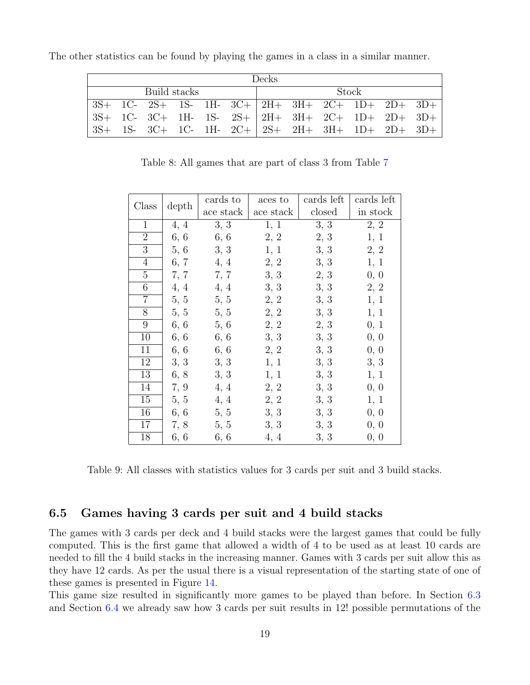| Decks        |  |                                                           |  |  |  |  |       |  |  |  |  |  |
|--------------|--|-----------------------------------------------------------|--|--|--|--|-------|--|--|--|--|--|
| Build stacks |  |                                                           |  |  |  |  | Stock |  |  |  |  |  |
|              |  | $3S+$ 1C- $2S+$ 1S- 1H- $3C+$ 2H+ $3H+$ 2C+ 1D+ 2D+ $3D+$ |  |  |  |  |       |  |  |  |  |  |
|              |  | $3S+$ 1C- $3C+$ 1H- 1S- $2S+$ 2H+ $3H+$ 2C+ 1D+ 2D+ $3D+$ |  |  |  |  |       |  |  |  |  |  |
|              |  | $3S+ 1S- 3C+ 1C- 1H- 2C+ 2S+ 2H+ 3H+ 1D+ 2D+ 3D+$         |  |  |  |  |       |  |  |  |  |  |

<span id="page-20-2"></span>The other statistics can be found by playing the games in a class in a similar manner.

Table 8: All games that are part of class 3 from Table [7](#page-19-0)

<span id="page-20-1"></span>

|                |       | cards to  | aces to   | cards left | cards left |
|----------------|-------|-----------|-----------|------------|------------|
| Class          | depth | ace stack | ace stack | closed     | in stock   |
| $\mathbf{1}$   | 4, 4  | 3, 3      | 1, 1      | 3, 3       | 2, 2       |
| $\overline{2}$ | 6, 6  | 6, 6      | 2, 2      | 2, 3       | 1, 1       |
| 3              | 5,6   | 3, 3      | 1, 1      | 3, 3       | 2, 2       |
| 4              | 6, 7  | 4, 4      | 2, 2      | 3, 3       | 1, 1       |
| 5              | 7, 7  | 7, 7      | 3, 3      | 2, 3       | 0, 0       |
| 6              | 4, 4  | 4, 4      | 3, 3      | 3, 3       | 2, 2       |
| 7              | 5, 5  | 5, 5      | 2, 2      | 3, 3       | 1, 1       |
| 8              | 5, 5  | 5, 5      | 2, 2      | 3, 3       | 1, 1       |
| 9              | 6, 6  | 5, 6      | 2, 2      | 2, 3       | 0, 1       |
| 10             | 6, 6  | 6, 6      | 3, 3      | 3, 3       | 0, 0       |
| 11             | 6, 6  | 6, 6      | 2, 2      | 3, 3       | 0, 0       |
| 12             | 3, 3  | 3, 3      | 1, 1      | 3, 3       | 3, 3       |
| 13             | 6, 8  | 3, 3      | 1, 1      | 3, 3       | 1, 1       |
| 14             | 7, 9  | 4, 4      | 2, 2      | 3, 3       | 0, 0       |
| 15             | 5, 5  | 4, 4      | 2, 2      | 3, 3       | 1, 1       |
| 16             | 6, 6  | 5, 5      | 3, 3      | 3, 3       | 0, 0       |
| 17             | 7, 8  | 5, 5      | 3, 3      | 3, 3       | 0, 0       |
| 18             | 6, 6  | 6, 6      | 4, 4      | 3, 3       | 0, 0       |

Table 9: All classes with statistics values for 3 cards per suit and 3 build stacks.

### <span id="page-20-0"></span>6.5 Games having 3 cards per suit and 4 build stacks

The games with 3 cards per deck and 4 build stacks were the largest games that could be fully computed. This is the first game that allowed a width of 4 to be used as at least 10 cards are needed to fill the 4 build stacks in the increasing manner. Games with 3 cards per suit allow this as they have 12 cards. As per the usual there is a visual representation of the starting state of one of these games is presented in Figure [14.](#page-21-0)

This game size resulted in significantly more games to be played than before. In Section [6.3](#page-15-0) and Section [6.4](#page-18-0) we already saw how 3 cards per suit results in 12! possible permutations of the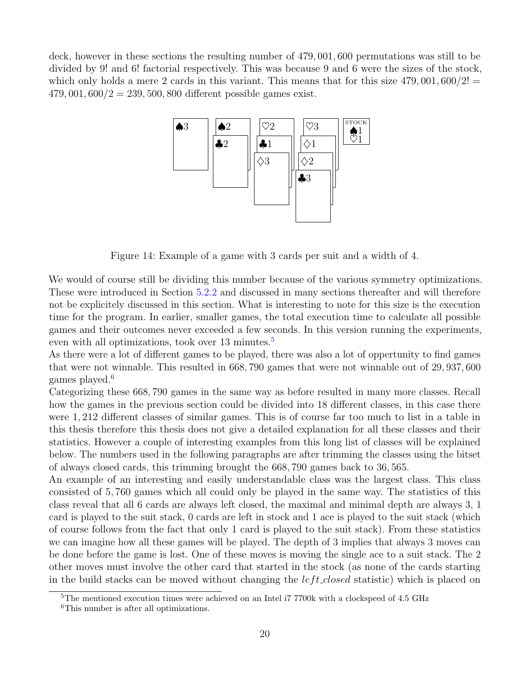<span id="page-21-0"></span>deck, however in these sections the resulting number of 479, 001, 600 permutations was still to be divided by 9! and 6! factorial respectively. This was because 9 and 6 were the sizes of the stock, which only holds a mere 2 cards in this variant. This means that for this size  $479,001,600/2!$  =  $479,001,600/2 = 239,500,800$  different possible games exist.



Figure 14: Example of a game with 3 cards per suit and a width of 4.

We would of course still be dividing this number because of the various symmetry optimizations. These were introduced in Section [5.2.2](#page-10-0) and discussed in many sections thereafter and will therefore not be explicitely discussed in this section. What is interesting to note for this size is the execution time for the program. In earlier, smaller games, the total execution time to calculate all possible games and their outcomes never exceeded a few seconds. In this version running the experiments, even with all optimizations, took over 13 minutes.<sup>[5](#page-21-1)</sup>

As there were a lot of different games to be played, there was also a lot of oppertunity to find games that were not winnable. This resulted in 668, 790 games that were not winnable out of 29, 937, 600 games played.<sup>[6](#page-21-2)</sup>

Categorizing these 668, 790 games in the same way as before resulted in many more classes. Recall how the games in the previous section could be divided into 18 different classes, in this case there were 1, 212 different classes of similar games. This is of course far too much to list in a table in this thesis therefore this thesis does not give a detailed explanation for all these classes and their statistics. However a couple of interesting examples from this long list of classes will be explained below. The numbers used in the following paragraphs are after trimming the classes using the bitset of always closed cards, this trimming brought the 668, 790 games back to 36, 565.

An example of an interesting and easily understandable class was the largest class. This class consisted of 5, 760 games which all could only be played in the same way. The statistics of this class reveal that all 6 cards are always left closed, the maximal and minimal depth are always 3, 1 card is played to the suit stack, 0 cards are left in stock and 1 ace is played to the suit stack (which of course follows from the fact that only 1 card is played to the suit stack). From these statistics we can imagine how all these games will be played. The depth of 3 implies that always 3 moves can be done before the game is lost. One of these moves is moving the single ace to a suit stack. The 2 other moves must involve the other card that started in the stock (as none of the cards starting in the build stacks can be moved without changing the *left\_closed* statistic) which is placed on

<span id="page-21-1"></span> $5$ The mentioned execution times were achieved on an Intel i7 7700k with a clockspeed of 4.5 GHz

<span id="page-21-2"></span><sup>6</sup>This number is after all optimizations.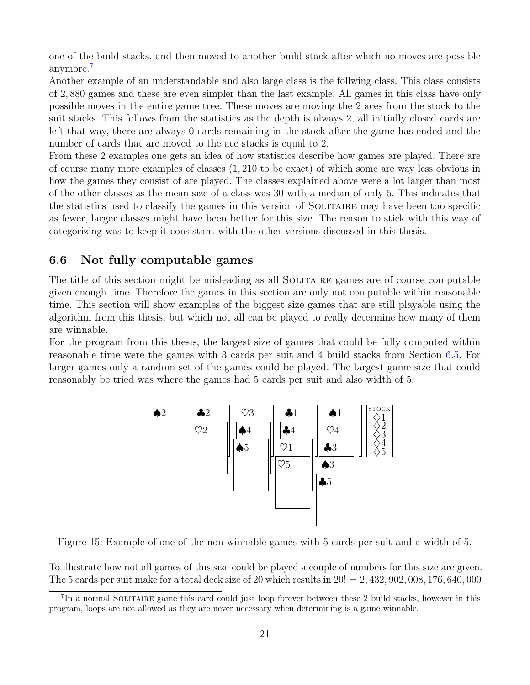one of the build stacks, and then moved to another build stack after which no moves are possible anymore.<sup>[7](#page-22-1)</sup>

Another example of an understandable and also large class is the follwing class. This class consists of 2, 880 games and these are even simpler than the last example. All games in this class have only possible moves in the entire game tree. These moves are moving the 2 aces from the stock to the suit stacks. This follows from the statistics as the depth is always 2, all initially closed cards are left that way, there are always 0 cards remaining in the stock after the game has ended and the number of cards that are moved to the ace stacks is equal to 2.

From these 2 examples one gets an idea of how statistics describe how games are played. There are of course many more examples of classes (1, 210 to be exact) of which some are way less obvious in how the games they consist of are played. The classes explained above were a lot larger than most of the other classes as the mean size of a class was 30 with a median of only 5. This indicates that the statistics used to classify the games in this version of SOLITAIRE may have been too specific as fewer, larger classes might have been better for this size. The reason to stick with this way of categorizing was to keep it consistant with the other versions discussed in this thesis.

### <span id="page-22-0"></span>6.6 Not fully computable games

The title of this section might be misleading as all SOLITAIRE games are of course computable given enough time. Therefore the games in this section are only not computable within reasonable time. This section will show examples of the biggest size games that are still playable using the algorithm from this thesis, but which not all can be played to really determine how many of them are winnable.

<span id="page-22-2"></span>For the program from this thesis, the largest size of games that could be fully computed within reasonable time were the games with 3 cards per suit and 4 build stacks from Section [6.5.](#page-20-0) For larger games only a random set of the games could be played. The largest game size that could reasonably be tried was where the games had 5 cards per suit and also width of 5.



Figure 15: Example of one of the non-winnable games with 5 cards per suit and a width of 5.

To illustrate how not all games of this size could be played a couple of numbers for this size are given. The 5 cards per suit make for a total deck size of 20 which results in  $20! = 2,432,902,008,176,640,000$ 

<span id="page-22-1"></span><sup>&</sup>lt;sup>7</sup>In a normal SOLITAIRE game this card could just loop forever between these 2 build stacks, however in this program, loops are not allowed as they are never necessary when determining is a game winnable.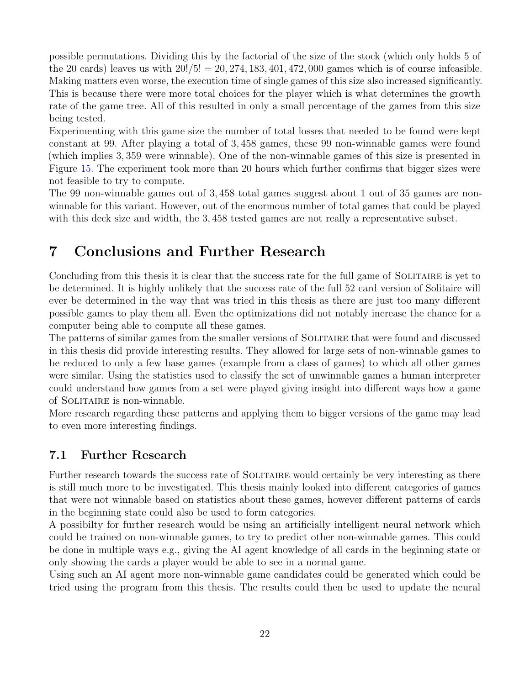possible permutations. Dividing this by the factorial of the size of the stock (which only holds 5 of the 20 cards) leaves us with  $20!/5! = 20,274,183,401,472,000$  games which is of course infeasible. Making matters even worse, the execution time of single games of this size also increased significantly. This is because there were more total choices for the player which is what determines the growth rate of the game tree. All of this resulted in only a small percentage of the games from this size being tested.

Experimenting with this game size the number of total losses that needed to be found were kept constant at 99. After playing a total of 3, 458 games, these 99 non-winnable games were found (which implies 3, 359 were winnable). One of the non-winnable games of this size is presented in Figure [15.](#page-22-2) The experiment took more than 20 hours which further confirms that bigger sizes were not feasible to try to compute.

The 99 non-winnable games out of 3, 458 total games suggest about 1 out of 35 games are nonwinnable for this variant. However, out of the enormous number of total games that could be played with this deck size and width, the 3, 458 tested games are not really a representative subset.

# <span id="page-23-0"></span>7 Conclusions and Further Research

Concluding from this thesis it is clear that the success rate for the full game of SOLITAIRE is yet to be determined. It is highly unlikely that the success rate of the full 52 card version of Solitaire will ever be determined in the way that was tried in this thesis as there are just too many different possible games to play them all. Even the optimizations did not notably increase the chance for a computer being able to compute all these games.

The patterns of similar games from the smaller versions of SOLITAIRE that were found and discussed in this thesis did provide interesting results. They allowed for large sets of non-winnable games to be reduced to only a few base games (example from a class of games) to which all other games were similar. Using the statistics used to classify the set of unwinnable games a human interpreter could understand how games from a set were played giving insight into different ways how a game of Solitaire is non-winnable.

More research regarding these patterns and applying them to bigger versions of the game may lead to even more interesting findings.

### <span id="page-23-1"></span>7.1 Further Research

Further research towards the success rate of SOLITAIRE would certainly be very interesting as there is still much more to be investigated. This thesis mainly looked into different categories of games that were not winnable based on statistics about these games, however different patterns of cards in the beginning state could also be used to form categories.

A possibilty for further research would be using an artificially intelligent neural network which could be trained on non-winnable games, to try to predict other non-winnable games. This could be done in multiple ways e.g., giving the AI agent knowledge of all cards in the beginning state or only showing the cards a player would be able to see in a normal game.

Using such an AI agent more non-winnable game candidates could be generated which could be tried using the program from this thesis. The results could then be used to update the neural